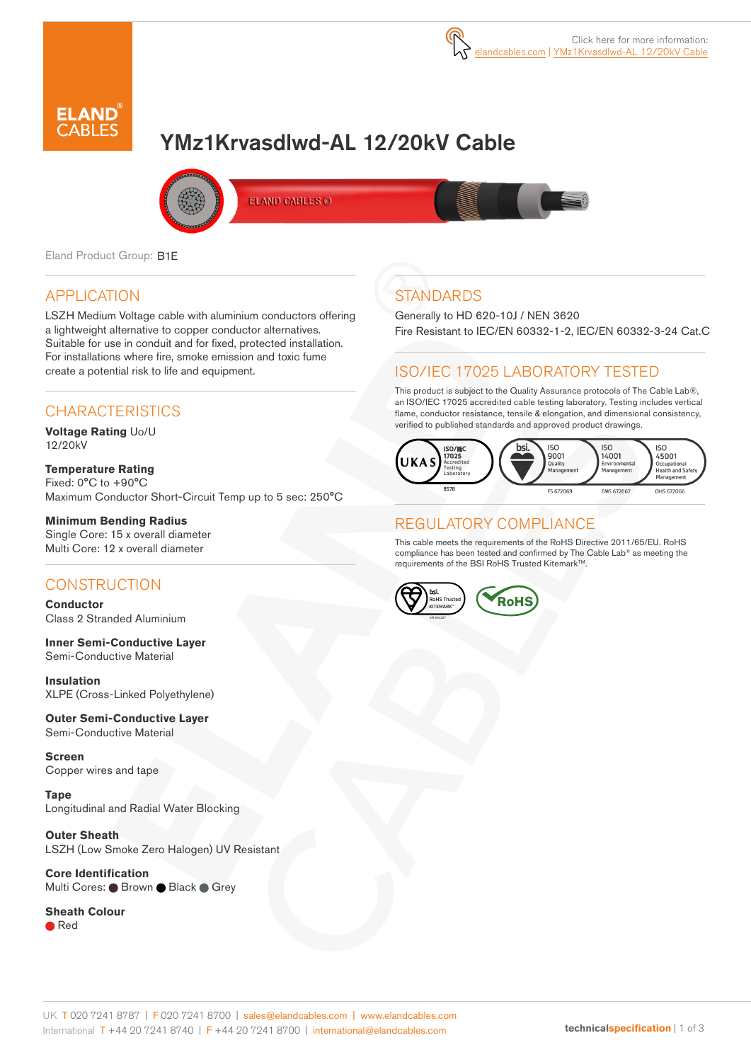

# YMz1Krvasdlwd-AL 12/20kV Cable



ELAND CABLES @

Eland Product Group: B1E

#### APPLICATION

LSZH Medium Voltage cable with aluminium conductors offering a lightweight alternative to copper conductor alternatives. Suitable for use in conduit and for fixed, protected installation. For installations where fire, smoke emission and toxic fume create a potential risk to life and equipment.

#### **CHARACTERISTICS**

**Voltage Rating** Uo/U 12/20kV

**Temperature Rating** Fixed: 0°C to +90°C Maximum Conductor Short-Circuit Temp up to 5 sec: 250°C

#### **Minimum Bending Radius**

Single Core: 15 x overall diameter Multi Core: 12 x overall diameter

### **CONSTRUCTION**

**Conductor** Class 2 Stranded Aluminium

**Inner Semi-Conductive Layer** Semi-Conductive Material

**Insulation** XLPE (Cross-Linked Polyethylene)

**Outer Semi-Conductive Layer** Semi-Conductive Material

**Screen** Copper wires and tape

**Tape** Longitudinal and Radial Water Blocking

**Outer Sheath** LSZH (Low Smoke Zero Halogen) UV Resistant

**Core Identification** Multi Cores: ● Brown ● Black ● Grey

#### **Sheath Colour**

● Red

## **STANDARDS**

Generally to HD 620-10J / NEN 3620 Fire Resistant to IEC/EN 60332-1-2, IEC/EN 60332-3-24 Cat.C

### ISO/IEC 17025 LABORATORY TESTED

This product is subject to the Quality Assurance protocols of The Cable Lab®, an ISO/IEC 17025 accredited cable testing laboratory. Testing includes vertical flame, conductor resistance, tensile & elongation, and dimensional consistency, verified to published standards and approved product drawings.



#### REGULATORY COMPLIANCE

This cable meets the requirements of the RoHS Directive 2011/65/EU. RoHS compliance has been tested and confirmed by The Cable Lab® as meeting the requirements of the BSI RoHS Trusted Kitemark™.



#### UK T 020 7241 8787 | F 020 7241 8700 | sales@elandcables.com | www.elandcables.com International T +44 20 7241 8740 | F +44 20 7241 8700 | international@elandcables.com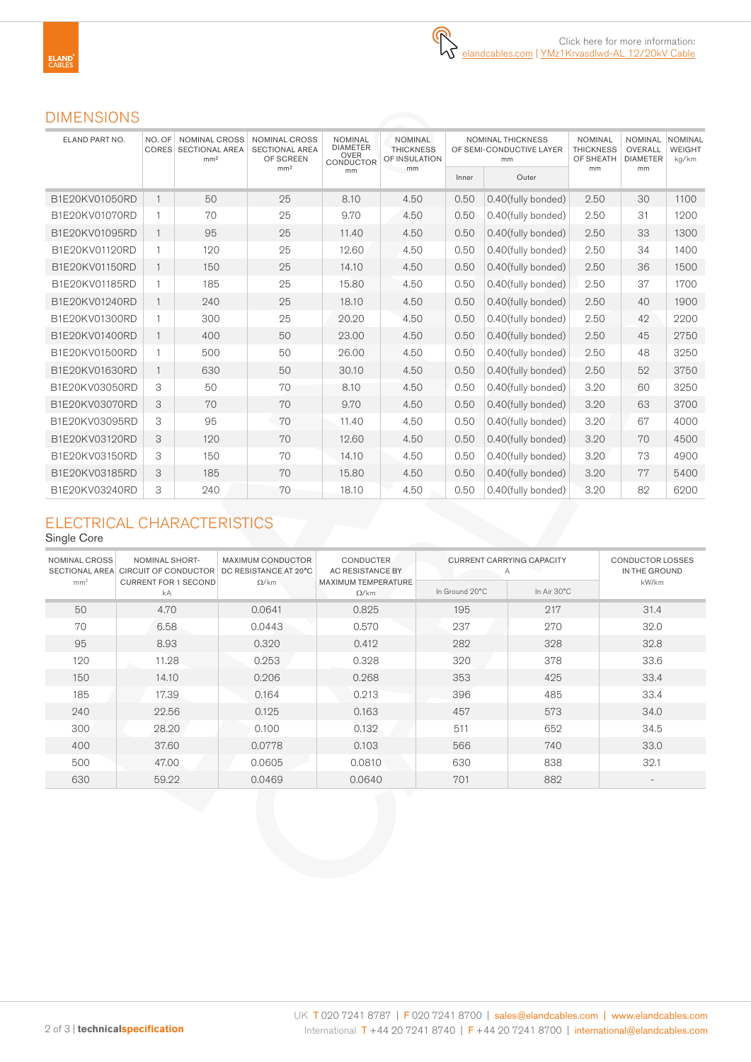#### DIMENSIONS

| ELAND PART NO. | NO. OF       | NOMINAL CROSS<br><b>CORES SECTIONAL AREA</b><br>mm <sup>2</sup> | <b>NOMINAL CROSS</b><br><b>SECTIONAL AREA</b><br>OF SCREEN | <b>NOMINAL</b><br><b>DIAMETER</b><br><b>OVER</b><br>CONDUCTOR | <b>NOMINAL</b><br><b>THICKNESS</b><br>OF INSULATION | <b>NOMINAL THICKNESS</b><br>OF SEMI-CONDUCTIVE LAYER<br>mm |                    | <b>NOMINAL</b><br><b>THICKNESS</b><br>OF SHEATH | <b>NOMINAL</b><br>OVERALL<br><b>DIAMETER</b> | <b>NOMINAL</b><br><b>WEIGHT</b><br>kg/km |
|----------------|--------------|-----------------------------------------------------------------|------------------------------------------------------------|---------------------------------------------------------------|-----------------------------------------------------|------------------------------------------------------------|--------------------|-------------------------------------------------|----------------------------------------------|------------------------------------------|
|                |              |                                                                 | mm <sup>2</sup>                                            | mm                                                            | mm                                                  | Inner                                                      | Outer              | mm                                              | mm                                           |                                          |
| B1E20KV01050RD | $\mathbf{1}$ | 50                                                              | 25                                                         | 8.10                                                          | 4.50                                                | 0.50                                                       | 0.40(fully bonded) | 2.50                                            | 30                                           | 1100                                     |
| B1E20KV01070RD | $\mathbf{1}$ | 70                                                              | 25                                                         | 9.70                                                          | 4.50                                                | 0.50                                                       | 0.40(fully bonded) | 2.50                                            | 31                                           | 1200                                     |
| B1E20KV01095RD | 1            | 95                                                              | 25                                                         | 11.40                                                         | 4.50                                                | 0.50                                                       | 0.40(fully bonded) | 2.50                                            | 33                                           | 1300                                     |
| B1E20KV01120RD | 1            | 120                                                             | 25                                                         | 12.60                                                         | 4.50                                                | 0.50                                                       | 0.40(fully bonded) | 2.50                                            | 34                                           | 1400                                     |
| B1E20KV01150RD | 1            | 150                                                             | 25                                                         | 14.10                                                         | 4.50                                                | 0.50                                                       | 0.40(fully bonded) | 2.50                                            | 36                                           | 1500                                     |
| B1E20KV01185RD | 1            | 185                                                             | 25                                                         | 15.80                                                         | 4.50                                                | 0.50                                                       | 0.40(fully bonded) | 2.50                                            | 37                                           | 1700                                     |
| B1E20KV01240RD |              | 240                                                             | 25                                                         | 18.10                                                         | 4.50                                                | 0.50                                                       | 0.40(fully bonded) | 2.50                                            | 40                                           | 1900                                     |
| B1E20KV01300RD | 1            | 300                                                             | 25                                                         | 20.20                                                         | 4.50                                                | 0.50                                                       | 0.40(fully bonded) | 2.50                                            | 42                                           | 2200                                     |
| B1E20KV01400RD | 1            | 400                                                             | 50                                                         | 23.00                                                         | 4.50                                                | 0.50                                                       | 0.40(fully bonded) | 2.50                                            | 45                                           | 2750                                     |
| B1E20KV01500RD |              | 500                                                             | 50                                                         | 26.00                                                         | 4.50                                                | 0.50                                                       | 0.40(fully bonded) | 2.50                                            | 48                                           | 3250                                     |
| B1E20KV01630RD | 1            | 630                                                             | 50                                                         | 30.10                                                         | 4.50                                                | 0.50                                                       | 0.40(fully bonded) | 2.50                                            | 52                                           | 3750                                     |
| B1E20KV03050RD | 3            | 50                                                              | 70                                                         | 8.10                                                          | 4.50                                                | 0.50                                                       | 0.40(fully bonded) | 3.20                                            | 60                                           | 3250                                     |
| B1E20KV03070RD | 3            | 70                                                              | 70                                                         | 9.70                                                          | 4.50                                                | 0.50                                                       | 0.40(fully bonded) | 3.20                                            | 63                                           | 3700                                     |
| B1E20KV03095RD | 3            | 95                                                              | 70                                                         | 11.40                                                         | 4.50                                                | 0.50                                                       | 0.40(fully bonded) | 3.20                                            | 67                                           | 4000                                     |
| B1E20KV03120RD | 3            | 120                                                             | 70                                                         | 12.60                                                         | 4.50                                                | 0.50                                                       | 0.40(fully bonded) | 3.20                                            | 70                                           | 4500                                     |
| B1E20KV03150RD | 3            | 150                                                             | 70                                                         | 14.10                                                         | 4.50                                                | 0.50                                                       | 0.40(fully bonded) | 3.20                                            | 73                                           | 4900                                     |
| B1E20KV03185RD | 3            | 185                                                             | 70                                                         | 15.80                                                         | 4.50                                                | 0.50                                                       | 0.40(fully bonded) | 3.20                                            | 77                                           | 5400                                     |
| B1E20KV03240RD | 3            | 240                                                             | 70                                                         | 18.10                                                         | 4.50                                                | 0.50                                                       | 0.40(fully bonded) | 3.20                                            | 82                                           | 6200                                     |

### ELECTRICAL CHARACTERISTICS

#### Single Core

| NOMINAL CROSS<br><b>SECTIONAL AREA</b> | <b>NOMINAL SHORT-</b><br>CIRCUIT OF CONDUCTOR | <b>MAXIMUM CONDUCTOR</b><br>DC RESISTANCE AT 20°C | <b>CONDUCTER</b><br>AC RESISTANCE BY<br>MAXIMUM TEMPERATURE<br>$\Omega$ /km | <b>CURRENT CARRYING CAPACITY</b><br>Α | <b>CONDUCTOR LOSSES</b><br>IN THE GROUND |                          |
|----------------------------------------|-----------------------------------------------|---------------------------------------------------|-----------------------------------------------------------------------------|---------------------------------------|------------------------------------------|--------------------------|
| mm <sup>2</sup>                        | <b>CURRENT FOR 1 SECOND</b><br>kA             | $\Omega$ /km                                      |                                                                             | In Ground 20°C                        | In Air 30°C                              | kW/km                    |
| 50                                     | 4.70                                          | 0.0641                                            | 0.825                                                                       | 195                                   | 217                                      | 31.4                     |
| 70                                     | 6.58                                          | 0.0443                                            | 0.570                                                                       | 237                                   | 270                                      | 32.0                     |
| 95                                     | 8.93                                          | 0.320                                             | 0.412                                                                       | 282                                   | 328                                      | 32.8                     |
| 120                                    | 11.28                                         | 0.253                                             | 0.328                                                                       | 320                                   | 378                                      | 33.6                     |
| 150                                    | 14.10                                         | 0.206                                             | 0.268                                                                       | 353                                   | 425                                      | 33.4                     |
| 185                                    | 17.39                                         | 0.164                                             | 0.213                                                                       | 396                                   | 485                                      | 33.4                     |
| 240                                    | 22.56                                         | 0.125                                             | 0.163                                                                       | 457                                   | 573                                      | 34.0                     |
| 300                                    | 28.20                                         | 0.100                                             | 0.132                                                                       | 511                                   | 652                                      | 34.5                     |
| 400                                    | 37.60                                         | 0.0778                                            | 0.103                                                                       | 566                                   | 740                                      | 33.0                     |
| 500                                    | 47.00                                         | 0.0605                                            | 0.0810                                                                      | 630                                   | 838                                      | 32.1                     |
| 630                                    | 59.22                                         | 0.0469                                            | 0.0640                                                                      | 701                                   | 882                                      | $\overline{\phantom{a}}$ |